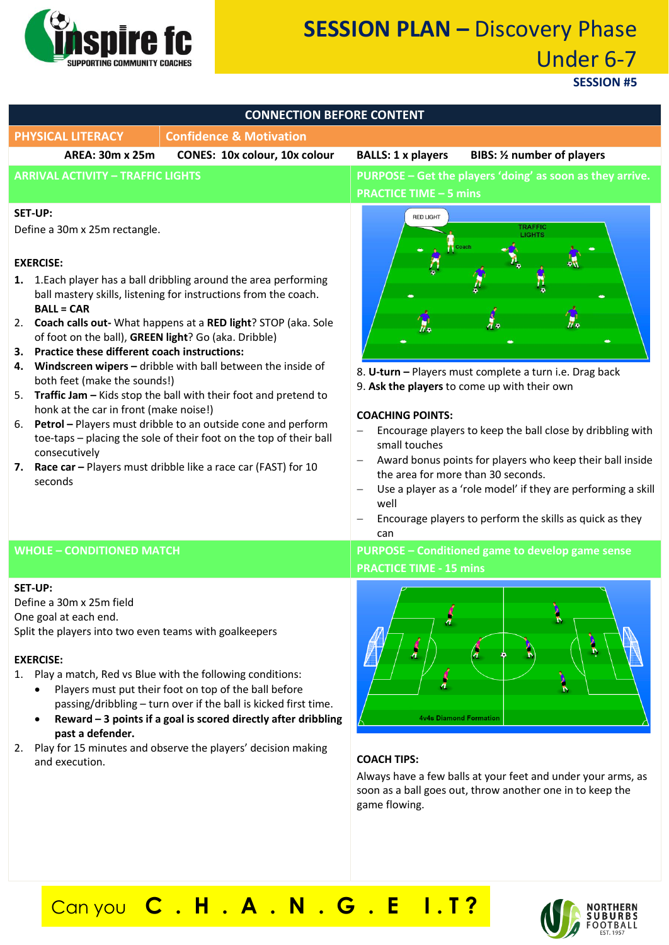

# **SESSION PLAN –** Discovery Phase Under 6-7

**SESSION #5**

| <b>CONNECTION BEFORE CONTENT</b>                                                                                                                                                                                                                                                                                                                                                                                                                                                                                                                                                                                                                                                                                                                                                                                                                                                        |                                                                                                                                                                                                                                                                                                                                                                                                                                                                                                                                                                          |
|-----------------------------------------------------------------------------------------------------------------------------------------------------------------------------------------------------------------------------------------------------------------------------------------------------------------------------------------------------------------------------------------------------------------------------------------------------------------------------------------------------------------------------------------------------------------------------------------------------------------------------------------------------------------------------------------------------------------------------------------------------------------------------------------------------------------------------------------------------------------------------------------|--------------------------------------------------------------------------------------------------------------------------------------------------------------------------------------------------------------------------------------------------------------------------------------------------------------------------------------------------------------------------------------------------------------------------------------------------------------------------------------------------------------------------------------------------------------------------|
| <b>PHYSICAL LITERACY</b><br><b>Confidence &amp; Motivation</b>                                                                                                                                                                                                                                                                                                                                                                                                                                                                                                                                                                                                                                                                                                                                                                                                                          |                                                                                                                                                                                                                                                                                                                                                                                                                                                                                                                                                                          |
| <b>AREA: 30m x 25m</b><br><b>CONES: 10x colour, 10x colour</b>                                                                                                                                                                                                                                                                                                                                                                                                                                                                                                                                                                                                                                                                                                                                                                                                                          | <b>BALLS: 1 x players</b><br>BIBS: 1/2 number of players                                                                                                                                                                                                                                                                                                                                                                                                                                                                                                                 |
| <b>ARRIVAL ACTIVITY - TRAFFIC LIGHTS</b>                                                                                                                                                                                                                                                                                                                                                                                                                                                                                                                                                                                                                                                                                                                                                                                                                                                | PURPOSE - Get the players 'doing' as soon as they arrive.<br><b>PRACTICE TIME - 5 mins</b>                                                                                                                                                                                                                                                                                                                                                                                                                                                                               |
| <b>SET-UP:</b><br>Define a 30m x 25m rectangle.<br><b>EXERCISE:</b><br>1. 1. Each player has a ball dribbling around the area performing<br>ball mastery skills, listening for instructions from the coach.<br><b>BALL = CAR</b><br>2. Coach calls out- What happens at a RED light? STOP (aka. Sole<br>of foot on the ball), GREEN light? Go (aka. Dribble)<br><b>Practice these different coach instructions:</b><br>3.<br>Windscreen wipers - dribble with ball between the inside of<br>4.<br>both feet (make the sounds!)<br>5. Traffic Jam - Kids stop the ball with their foot and pretend to<br>honk at the car in front (make noise!)<br>6. Petrol - Players must dribble to an outside cone and perform<br>toe-taps - placing the sole of their foot on the top of their ball<br>consecutively<br>7. Race car - Players must dribble like a race car (FAST) for 10<br>seconds | <b>RED LIGHT</b><br><b>TRAFFIC</b><br><b>LIGHTS</b><br>8. U-turn - Players must complete a turn i.e. Drag back<br>9. Ask the players to come up with their own<br><b>COACHING POINTS:</b><br>Encourage players to keep the ball close by dribbling with<br>small touches<br>Award bonus points for players who keep their ball inside<br>$\overline{\phantom{0}}$<br>the area for more than 30 seconds.<br>Use a player as a 'role model' if they are performing a skill<br>$\qquad \qquad -$<br>well<br>Encourage players to perform the skills as quick as they<br>can |
| <b>WHOLE - CONDITIONED MATCH</b>                                                                                                                                                                                                                                                                                                                                                                                                                                                                                                                                                                                                                                                                                                                                                                                                                                                        | PURPOSE - Conditioned game to develop game sense<br><b>PRACTICE TIME - 15 mins</b>                                                                                                                                                                                                                                                                                                                                                                                                                                                                                       |
| <b>SET-UP:</b><br>Define a 30m x 25m field<br>One goal at each end.<br>Split the players into two even teams with goalkeepers<br><b>EXERCISE:</b><br>Play a match, Red vs Blue with the following conditions:<br>1.<br>Players must put their foot on top of the ball before<br>$\bullet$<br>passing/dribbling - turn over if the ball is kicked first time.<br>Reward - 3 points if a goal is scored directly after dribbling<br>$\bullet$<br>past a defender.<br>Play for 15 minutes and observe the players' decision making<br>2.<br>and execution.                                                                                                                                                                                                                                                                                                                                 | $\boldsymbol{\eta}$<br>À<br><b>4v4s Diamond Formation</b><br><b>COACH TIPS:</b><br>Always have a few balls at your feet and under your arms, as<br>soon as a ball goes out, throw another one in to keep the<br>game flowing.                                                                                                                                                                                                                                                                                                                                            |

Can you **C . H . A . N . G . E I . T ?**